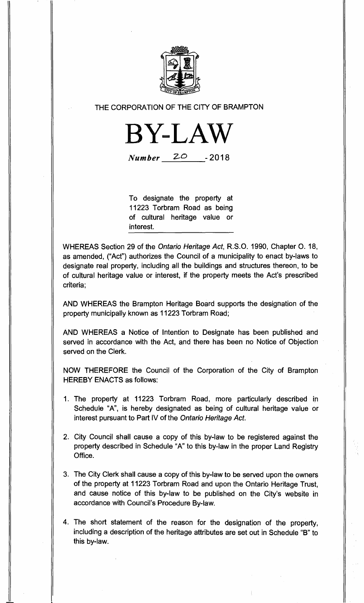

**THE CORPORATION OF THE CITY OF BRAMPTON** 



*Number* 20 - 2018

**To designate the property at 11223 Torbram Road as being of cultural heritage value or interest.** 

**WHEREAS Section 29 of the Ontario Heritage Act, R.S.O. 1990, Chapter 0. 18, as amended, ("Act") authorizes the Council of a municipality to enact by-laws to designate real property, including all the buildings and structures thereon, to be of cultural heritage value or interest, if the property meets the Act's prescribed criteria;** 

**AND WHEREAS the Brampton Heritage Board supports the designation of the property municipally known as 11223 Torbram Road;** 

**AND WHEREAS a Notice of Intention to Designate has been published and served in accordance with the Act, and there has been no Notice of Objection served on the Clerk.** 

**NOW THEREFORE the Council of the Corporation of the City of Brampton HEREBY ENACTS as follows:** 

- **1. The property at 11223 Torbram Road, more particularly described in Schedule "A", is hereby designated as being of cultural heritage value or interest pursuant to Part IV of the Ontario Heritage Act.**
- **2. City Council shall cause a copy of this by-law to be registered against the property described in Schedule "A" to this by-law in the proper Land Registry Office.**
- **3. The City Clerk shall cause a copy of this by-law to be served upon the owners of the property at 11223 Torbram Road and upon the Ontario Heritage Trust, and cause notice of this by-law to be published on the City's website in accordance with Council's Procedure By-law.**
- **4. The short statement of the reason for the designation of the property, including a description of the heritage attributes are set out in Schedule "B" to this by-law.**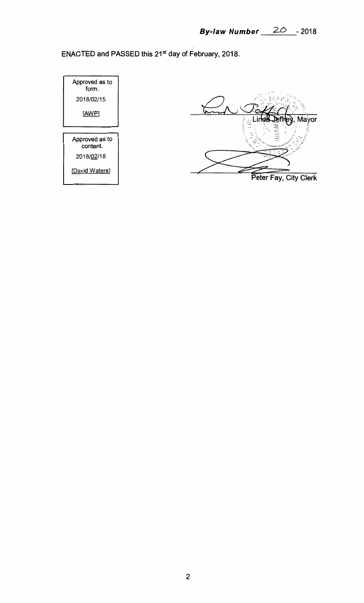**ENACTED and PASSED this 21st day of February, 2018.** 





 $\bar{\mathcal{A}}$  .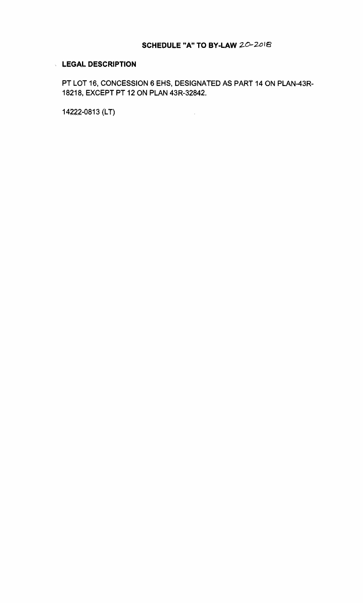## **LEGAL DESCRIPTION**

PT LOT 16, CONCESSION 6 EHS, DESIGNATED AS PART 14 ON PLAN-43R-18218, EXCEPT PT 12 ON PLAN 43R-32842.

 $\sim 10^6$ 

14222-0813 (LT)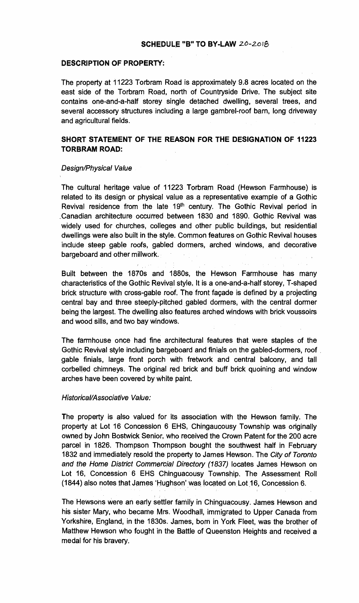### **SCHEDULE "B" TO BY-LAW zo-Zoia**

### **DESCRIPTION OF PROPERTY:**

**The property at 11223 Torbram Road is approximately 9.8 acres located on the east side of the Torbram Road, north of Countryside Drive. The subject site contains one-and-a-half storey single detached dwelling, several trees, and several accessory structures including a large gambrel-roof barn, long driveway and agricultural fields.** 

# **SHORT STATEMENT OF THE REASON FOR THE DESIGNATION OF 11223 TORBRAM ROAD:**

#### Design/Physical Value

**The cultural heritage value of 11223 Torbram Road (Hewson Farmhouse) is related to its design or physical value as a representative example of a Gothic Revival residence from the late 19th century. The Gothic Revival period in ,Canadian architecture occurred between 1830 and 1890. Gothic Revival was widely used for churches, colleges and other public buildings, but residential dwellings were also built in the style. Common features on Gothic Revival houses include steep gable roofs, gabled dormers, arched windows, and decorative bargeboard and other millwork.** 

**Built between the 1870s and 1880s, the Hewson Farmhouse has many characteristics of the Gothic Revival style. It is a one-and-a-half storey, T-shaped brick structure with cross-gable roof. The front fagade is defined by** a **projecting central bay and three steeply-pitched gabled dormers, with the central dormer being the largest. The dwelling also features arched windows with brick voussoirs and wood sills, and two bay windows.** 

**The farmhouse once had fine architectural features that were staples of the Gothic Revival style including bargeboard and finials on the gabled-dormers, roof , gable finials, large front porch with fretwork and central balcony, and tall corbelled chimneys. The original red brick and buff brick quoining and window arches have been covered by white paint.** 

#### Historical/Associative Value:

**The property is also valued for its association with the Hewson family. The property at Lot 16 Concession 6 EHS, Chingaucousy Township was originally owned by John Bostwick Senior, who received the Crown Patent for the 200 acre parcel in 1826. Thompson Thompson bought the southwest half in February 1832 and immediately resold the property to James Hewson. The** City of Toronto and the Home District Commercial Directory (1837) **locates James Hewson on Lot 16, Concession 6 EHS Chinguacousy Township. The Assessment Roll (1844) also notes that James 'Hughson' was located on**. **Lot 16, Concession 6.** 

**The Hewsons were an early settler family in Chinguacousy. James Hewson and his sister Mary, who became Mrs. Woodhall, immigrated to Upper Canada from Yorkshire, England, in the 1830s. James, born in York Fleet, was the brother of Matthew Hewson who fought in the Battle of Queenston Heights and received a medal for his bravery.**